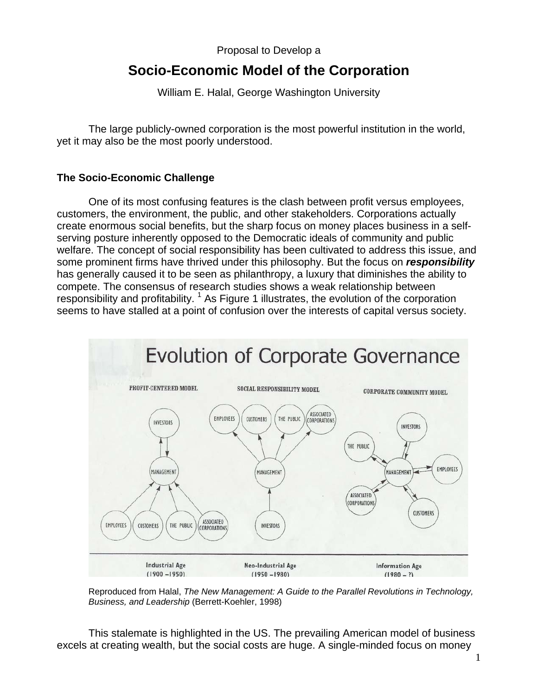## Proposal to Develop a

# **Socio-Economic Model of the Corporation**

William E. Halal, George Washington University

The large publicly-owned corporation is the most powerful institution in the world, yet it may also be the most poorly understood.

## **The Socio-Economic Challenge**

One of its most confusing features is the clash between profit versus employees, customers, the environment, the public, and other stakeholders. Corporations actually create enormous social benefits, but the sharp focus on money places business in a selfserving posture inherently opposed to the Democratic ideals of community and public welfare. The concept of social responsibility has been cultivated to address this issue, and some prominent firms have thrived under this philosophy. But the focus on *responsibility*  has generally caused it to be seen as philanthropy, a luxury that diminishes the ability to compete. The consensus of research studies shows a weak relationship between responsibility and profitability.  $1$  As Figure 1 illustrates, the evolution of the corporation seems to have stalled at a point of confusion over the interests of capital versus society.



Reproduced from Halal, *The New Management: A Guide to the Parallel Revolutions in Technology, Business, and Leadership* (Berrett-Koehler, 1998)

This stalemate is highlighted in the US. The prevailing American model of business excels at creating wealth, but the social costs are huge. A single-minded focus on money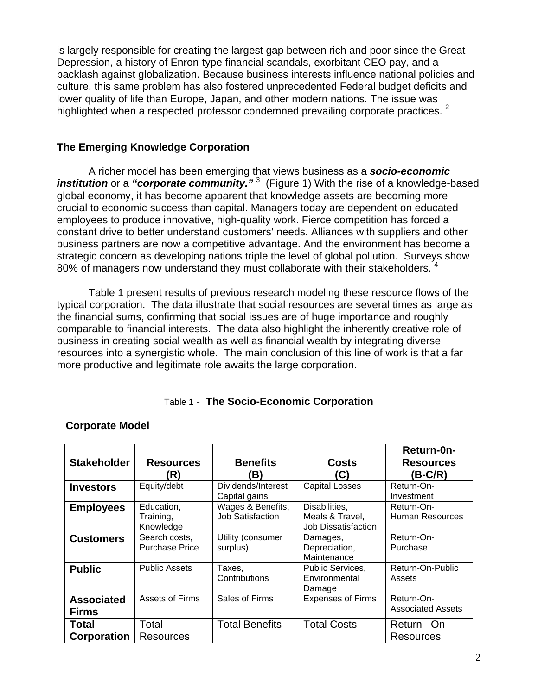is largely responsible for creating the largest gap between rich and poor since the Great Depression, a history of Enron-type financial scandals, exorbitant CEO pay, and a backlash against globalization. Because business interests influence national policies and culture, this same problem has also fostered unprecedented Federal budget deficits and lower quality of life than Europe, Japan, and other modern nations. The issue was highlighted when a respected professor condemned prevailing corporate practices. <sup>2</sup>

## **The Emerging Knowledge Corporation**

A richer model has been emerging that views business as a *socio-economic institution* or a "corporate community."<sup>3</sup> (Figure 1) With the rise of a knowledge-based global economy, it has become apparent that knowledge assets are becoming more crucial to economic success than capital. Managers today are dependent on educated employees to produce innovative, high-quality work. Fierce competition has forced a constant drive to better understand customers' needs. Alliances with suppliers and other business partners are now a competitive advantage. And the environment has become a strategic concern as developing nations triple the level of global pollution. Surveys show 80% of managers now understand they must collaborate with their stakeholders. 4

Table 1 present results of previous research modeling these resource flows of the typical corporation. The data illustrate that social resources are several times as large as the financial sums, confirming that social issues are of huge importance and roughly comparable to financial interests. The data also highlight the inherently creative role of business in creating social wealth as well as financial wealth by integrating diverse resources into a synergistic whole. The main conclusion of this line of work is that a far more productive and legitimate role awaits the large corporation.

# Table 1 - **The Socio-Economic Corporation**

|                                   |                                        |                                              |                                                                | Return-0n-                             |
|-----------------------------------|----------------------------------------|----------------------------------------------|----------------------------------------------------------------|----------------------------------------|
| <b>Stakeholder</b>                | <b>Resources</b>                       | <b>Benefits</b>                              | <b>Costs</b>                                                   | <b>Resources</b>                       |
|                                   | 'R)                                    | (B)                                          | (C)                                                            | (B-C/R)                                |
| <b>Investors</b>                  | Equity/debt                            | Dividends/Interest<br>Capital gains          | <b>Capital Losses</b>                                          | Return-On-<br>Investment               |
| <b>Employees</b>                  | Education,<br>Training,<br>Knowledge   | Wages & Benefits,<br><b>Job Satisfaction</b> | Disabilities,<br>Meals & Travel,<br><b>Job Dissatisfaction</b> | Return-On-<br><b>Human Resources</b>   |
| <b>Customers</b>                  | Search costs,<br><b>Purchase Price</b> | Utility (consumer<br>surplus)                | Damages,<br>Depreciation,<br>Maintenance                       | Return-On-<br>Purchase                 |
| <b>Public</b>                     | <b>Public Assets</b>                   | Taxes.<br>Contributions                      | Public Services,<br>Environmental<br>Damage                    | Return-On-Public<br>Assets             |
| <b>Associated</b><br><b>Firms</b> | Assets of Firms                        | Sales of Firms                               | <b>Expenses of Firms</b>                                       | Return-On-<br><b>Associated Assets</b> |
| Total<br>Corporation              | Total<br><b>Resources</b>              | <b>Total Benefits</b>                        | <b>Total Costs</b>                                             | Return - On<br>Resources               |

# **Corporate Model**